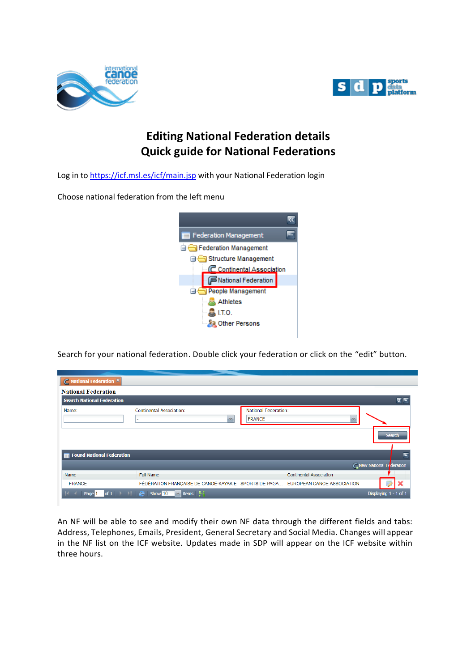



## **Editing National Federation details Quick guide for National Federations**

Log in to<https://icf.msl.es/icf/main.jsp> with your National Federation login

Choose national federation from the left menu



Search for your national federation. Double click your federation or click on the "edit" button.

| $\subset$ National Federation $\times$ |                                                                                                                   |                |
|----------------------------------------|-------------------------------------------------------------------------------------------------------------------|----------------|
| <b>National Federation</b>             |                                                                                                                   |                |
| <b>Search National Federation</b>      |                                                                                                                   | $\overline{z}$ |
| Name:                                  | <b>National Federation:</b><br><b>Continental Association:</b><br><b>FRANCE</b><br>$\mathcal{M}$<br>$\mathcal{M}$ | <b>Search</b>  |
| <b>Found National Federation</b>       |                                                                                                                   |                |
|                                        | <b>C</b> New National Fe deration                                                                                 |                |
| Name                                   | <b>Full Name</b><br><b>Continental Association</b>                                                                |                |
| <b>FRANCE</b>                          | FÉDÉRATION FRANÇAISE DE CANOË-KAYAK ET SPORTS DE PAGA<br>EUROPEAN CANOE ASSOCIATION                               |                |
| Page 1                                 | of 1<br>Show 10<br><b>items</b><br>Displaying 1 - 1 of 1<br>æ<br>$\mathbf{v}$                                     |                |

An NF will be able to see and modify their own NF data through the different fields and tabs: Address, Telephones, Emails, President, General Secretary and Social Media. Changes will appear in the NF list on the ICF website. Updates made in SDP will appear on the ICF website within three hours.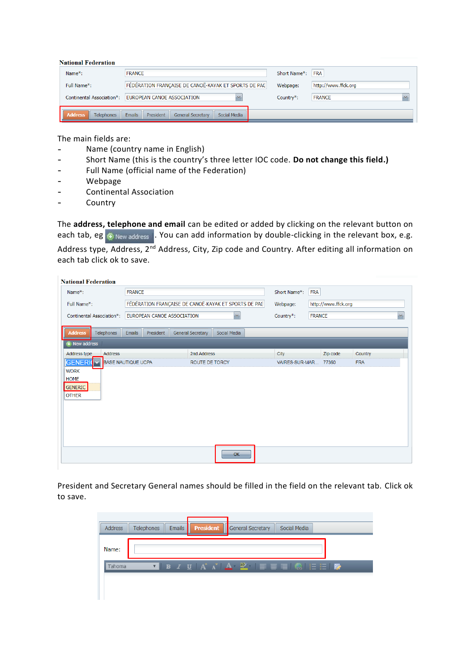## **National Federation**

| Name <sup>*</sup> :          | <b>FRANCE</b>                                                          | Short Name*: | <b>FRA</b>              |
|------------------------------|------------------------------------------------------------------------|--------------|-------------------------|
| Full Name*:                  | FÉDÉRATION FRANÇAISE DE CANOË-KAYAK ET SPORTS DE PAC                   | Webpage:     | http://www.ffck.org     |
| Continental Association*:    | <b>EUROPEAN CANOE ASSOCIATION</b>                                      | Country*:    | <b>FRANCE</b><br>$\sim$ |
| Telephones<br><b>Address</b> | Social Media<br><b>Emails</b><br>President<br><b>General Secretary</b> |              |                         |

The main fields are:

- Name (country name in English)
- Short Name (this is the country's three letter IOC code. **Do not change this field.)**
- Full Name (official name of the Federation)
- Webpage
- Continental Association
- Country

The **address, telephone and email** can be edited or added by clicking on the relevant button on each tab, eg  $\frac{1}{2}$  New address . You can add information by double-clicking in the relevant box, e.g. Address type, Address, 2<sup>nd</sup> Address, City, Zip code and Country. After editing all information on each tab click ok to save.

| <b>National Federation</b>                            |                                            |                       |                                                      |                          |                            |              |  |
|-------------------------------------------------------|--------------------------------------------|-----------------------|------------------------------------------------------|--------------------------|----------------------------|--------------|--|
| Name <sup>*</sup> :                                   | <b>FRANCE</b>                              |                       |                                                      | Short Name*:<br>Webpage: | FRA<br>http://www.ffck.org |              |  |
| Full Name*:                                           |                                            |                       | FÉDÉRATION FRANÇAISE DE CANOË-KAYAK ET SPORTS DE PAC |                          |                            |              |  |
| Continental Association*:                             | $\mathbf{v}$<br>EUROPEAN CANOE ASSOCIATION |                       |                                                      | Country*:                | <b>FRANCE</b>              | $\mathbf{v}$ |  |
| <b>Telephones</b><br><b>Address</b>                   | President<br><b>Emails</b>                 | General Secretary     | Social Media                                         |                          |                            |              |  |
| New address                                           |                                            |                       |                                                      |                          |                            |              |  |
| Address type<br>Address                               |                                            | 2nd Address           |                                                      | City                     | Zip code                   | Country      |  |
| <b>GENERIO</b>                                        | <b>BASE NAUTIQUE UCPA</b>                  | <b>ROUTE DE TORCY</b> |                                                      |                          | VAIRES-SUR-MAR 77360       | <b>FRA</b>   |  |
| <b>WORK</b><br><b>HOME</b><br>GENERIC<br><b>OTHER</b> |                                            |                       |                                                      |                          |                            |              |  |
|                                                       |                                            |                       | OK                                                   |                          |                            |              |  |

President and Secretary General names should be filled in the field on the relevant tab. Click ok to save.

| <b>Address</b> | <b>Telephones</b> | Emails | <b>President</b> General Secretary                    | Social Media |  |
|----------------|-------------------|--------|-------------------------------------------------------|--------------|--|
| Name:          |                   |        |                                                       |              |  |
| Tahoma         |                   |        | ◘ B Z U   A ^   A   ≌   E   E   D   ©           E   B |              |  |
|                |                   |        |                                                       |              |  |